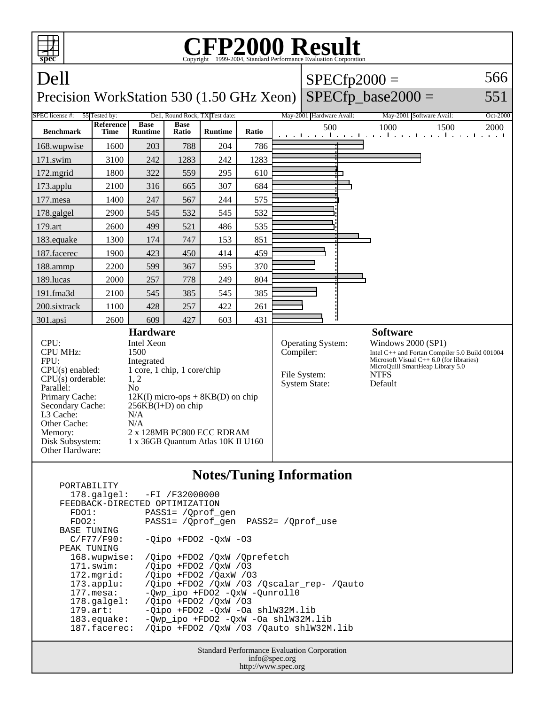

|                                | $178.\text{qalgel}: -FI /F32000000$       |
|--------------------------------|-------------------------------------------|
| FEEDBACK-DIRECTED OPTIMIZATION |                                           |
| FDO1:                          | PASS1= / Oprof gen                        |
| FDO2:                          | PASS1= / Oprof gen PASS2= / Oprof use     |
| <b>BASE TUNING</b>             |                                           |
| C/F77/F90:                     | $-Oipo$ +FDO2 $-OxW$ -O3                  |
| PEAK TUNING                    |                                           |
| 168.wupwise:                   | /Oipo +FDO2 /OxW /Oprefetch               |
| $171$ .swim:                   | /Oipo +FDO2 /OxW /03                      |
| 172.mgrid:                     | /Oipo +FD02 /OaxW /03                     |
| $173.appendu$ :                | /Oipo +FDO2 /OxW /O3 /Oscalar rep- /Oauto |
| $177.\text{mesa}$ :            | -Owp ipo +FDO2 -OxW -Ounroll0             |
| $178.\text{qalgel}$ :          | /Oipo +FDO2 /OxW /03                      |
| $179.\arct:$                   | -Qipo +FDO2 -QxW -Oa shlW32M.lib          |
| $183$ . equake:                | $-Qwp\_ipo$ +FDO2 -QxW -Oa shlW32M.lib    |
| 187.facerec:                   | /Oipo +FDO2 /OxW /O3 /Oauto shlW32M.lib   |
|                                |                                           |

Standard Performance Evaluation Corporation info@spec.org http://www.spec.org